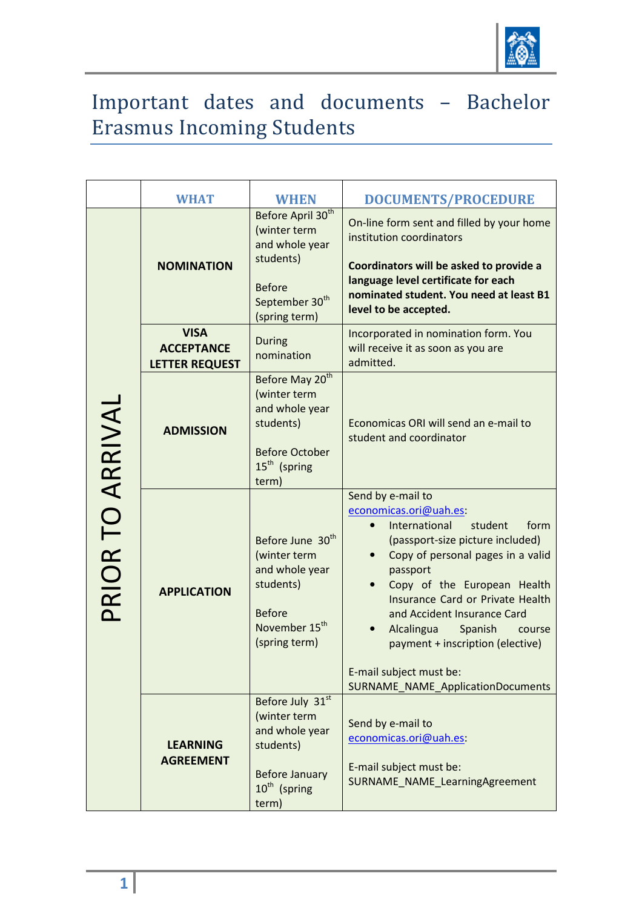

## Important dates and documents – Bachelor Erasmus Incoming Students

|                  | <b>WHAT</b>                                               | <b>WHEN</b>                                                                                                                                  | <b>DOCUMENTS/PROCEDURE</b>                                                                                                                                                                                                                                                                                                                                                                                           |
|------------------|-----------------------------------------------------------|----------------------------------------------------------------------------------------------------------------------------------------------|----------------------------------------------------------------------------------------------------------------------------------------------------------------------------------------------------------------------------------------------------------------------------------------------------------------------------------------------------------------------------------------------------------------------|
| PRIOR TO ARRIVAL | <b>NOMINATION</b>                                         | Before April 30 <sup>th</sup><br>(winter term<br>and whole year<br>students)<br><b>Before</b><br>September 30 <sup>th</sup><br>(spring term) | On-line form sent and filled by your home<br>institution coordinators<br>Coordinators will be asked to provide a<br>language level certificate for each<br>nominated student. You need at least B1<br>level to be accepted.                                                                                                                                                                                          |
|                  | <b>VISA</b><br><b>ACCEPTANCE</b><br><b>LETTER REQUEST</b> | <b>During</b><br>nomination                                                                                                                  | Incorporated in nomination form. You<br>will receive it as soon as you are<br>admitted.                                                                                                                                                                                                                                                                                                                              |
|                  | <b>ADMISSION</b>                                          | Before May 20 <sup>th</sup><br>(winter term<br>and whole year<br>students)<br><b>Before October</b><br>15 <sup>th</sup> (spring<br>term)     | Economicas ORI will send an e-mail to<br>student and coordinator                                                                                                                                                                                                                                                                                                                                                     |
|                  | <b>APPLICATION</b>                                        | Before June 30 <sup>th</sup><br>(winter term<br>and whole year<br>students)<br><b>Before</b><br>November 15 <sup>th</sup><br>(spring term)   | Send by e-mail to<br>economicas.ori@uah.es:<br>International<br>student<br>form<br>(passport-size picture included)<br>Copy of personal pages in a valid<br>passport<br>Copy of the European Health<br>Insurance Card or Private Health<br>and Accident Insurance Card<br>Alcalingua<br>Spanish<br>course<br>payment + inscription (elective)<br>E-mail subject must be:<br><b>SURNAME_NAME_ApplicationDocuments</b> |
|                  | <b>LEARNING</b><br><b>AGREEMENT</b>                       | Before July 31st<br>(winter term<br>and whole year<br>students)<br><b>Before January</b><br>10 <sup>th</sup> (spring<br>term)                | Send by e-mail to<br>economicas.ori@uah.es:<br>E-mail subject must be:<br>SURNAME_NAME_LearningAgreement                                                                                                                                                                                                                                                                                                             |